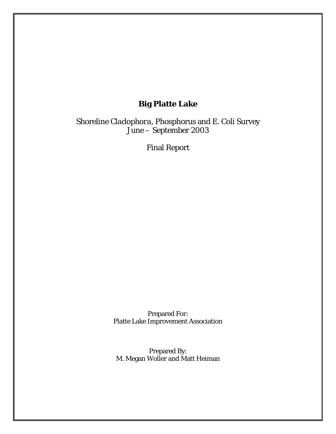# **Big Platte Lake**

Shoreline *Cladophora*, Phosphorus and *E. Coli* Survey June – September 2003

Final Report

Prepared For: Platte Lake Improvement Association

Prepared By: M. Megan Woller and Matt Heiman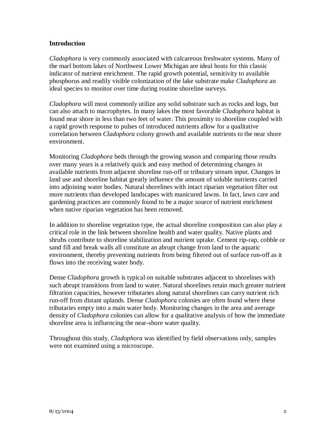### **Introduction**

*Cladophora* is very commonly associated with calcareous freshwater systems. Many of the marl bottom lakes of Northwest Lower Michigan are ideal hosts for this classic indicator of nutrient enrichment. The rapid growth potential, sensitivity to available phosphorus and readily visible colonization of the lake substrate make *Cladophora* an ideal species to monitor over time during routine shoreline surveys.

*Cladophora* will most commonly utilize any solid substrate such as rocks and logs, but can also attach to macrophytes. In many lakes the most favorable *Cladophora* habitat is found near shore in less than two feet of water. This proximity to shoreline coupled with a rapid growth response to pulses of introduced nutrients allow for a qualitative correlation between *Cladophora* colony growth and available nutrients to the near shore environment.

Monitoring *Cladophora* beds through the growing season and comparing those results over many years is a relatively quick and easy method of determining changes in available nutrients from adjacent shoreline run-off or tributary stream input. Changes in land use and shoreline habitat greatly influence the amount of soluble nutrients carried into adjoining water bodies. Natural shorelines with intact riparian vegetation filter out more nutrients than developed landscapes with manicured lawns. In fact, lawn care and gardening practices are commonly found to be a major source of nutrient enrichment when native riparian vegetation has been removed.

In addition to shoreline vegetation type, the actual shoreline composition can also play a critical role in the link between shoreline health and water quality. Native plants and shrubs contribute to shoreline stabilization and nutrient uptake. Cement rip-rap, cobble or sand fill and break walls all constitute an abrupt change from land to the aquatic environment, thereby preventing nutrients from being filtered out of surface run-off as it flows into the receiving water body.

Dense *Cladophora* growth is typical on suitable substrates adjacent to shorelines with such abrupt transitions from land to water. Natural shorelines retain much greater nutrient filtration capacities, however tributaries along natural shorelines can carry nutrient rich run-off from distant uplands. Dense *Cladophora* colonies are often found where these tributaries empty into a main water body. Monitoring changes in the area and average density of *Cladophora* colonies can allow for a qualitative analysis of how the immediate shoreline area is influencing the near-shore water quality.

Throughout this study, *Cladophora* was identified by field observations only, samples were not examined using a microscope.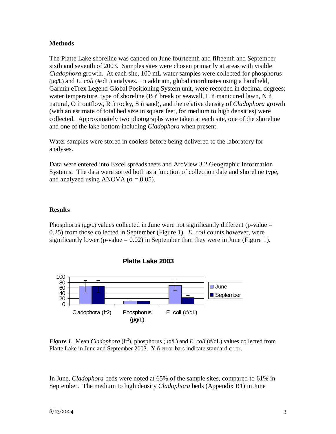### **Methods**

The Platte Lake shoreline was canoed on June fourteenth and fifteenth and September sixth and seventh of 2003. Samples sites were chosen primarily at areas with visible *Cladophora* growth. At each site, 100 mL water samples were collected for phosphorus (µg/L) and *E. coli* (#/dL) analyses. In addition, global coordinates using a handheld, Garmin eTrex Legend Global Positioning System unit, were recorded in decimal degrees; water temperature, type of shoreline (B ñ break or seawall, L ñ manicured lawn, N ñ natural, O ñ outflow, R ñ rocky, S ñ sand), and the relative density of *Cladophora* growth (with an estimate of total bed size in square feet, for medium to high densities) were collected. Approximately two photographs were taken at each site, one of the shoreline and one of the lake bottom including *Cladophora* when present.

Water samples were stored in coolers before being delivered to the laboratory for analyses.

Data were entered into Excel spreadsheets and ArcView 3.2 Geographic Information Systems. The data were sorted both as a function of collection date and shoreline type, and analyzed using ANOVA ( $\alpha$  = 0.05).

### **Results**

Phosphorus ( $\mu$ g/L) values collected in June were not significantly different (p-value = 0.25) from those collected in September (Figure 1). *E. coli* counts however, were significantly lower (p-value  $= 0.02$ ) in September than they were in June (Figure 1).



**Platte Lake 2003**

*Figure 1.* Mean *Cladophora* ( $ft^2$ ), phosphorus ( $\mu g/L$ ) and *E. coli* ( $\#/dL$ ) values collected from Platte Lake in June and September 2003. Y ñ error bars indicate standard error.

In June, *Cladophora* beds were noted at 65% of the sample sites, compared to 61% in September. The medium to high density *Cladophora* beds (Appendix B1) in June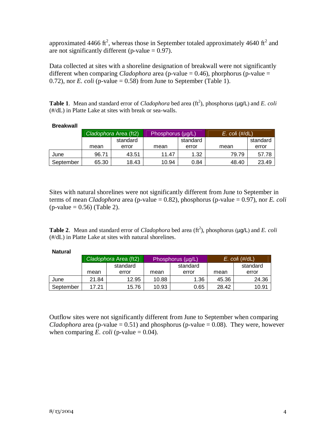approximated 4466 ft<sup>2</sup>, whereas those in September totaled approximately 4640 ft<sup>2</sup> and are not significantly different ( $p$ -value = 0.97).

Data collected at sites with a shoreline designation of breakwall were not significantly different when comparing *Cladophora* area (p-value  $= 0.46$ ), phorphorus (p-value  $=$ 0.72), nor *E. coli* (p-value  $= 0.58$ ) from June to September (Table 1).

Table 1. Mean and standard error of *Cladophora* bed area (ft<sup>2</sup>), phosphorus ( $\mu$ g/L) and *E. coli* (#/dL) in Platte Lake at sites with break or sea-walls.

|           | Cladophora Area (ft2) |       | Phosphorus (µg/L) |          | $E.$ col $(\#/dL)$ |          |  |
|-----------|-----------------------|-------|-------------------|----------|--------------------|----------|--|
|           | standard              |       |                   | standard |                    | standard |  |
|           | mean<br>error         |       | mean<br>error     |          | mean               | error    |  |
| June      | 96.71                 | 43.51 | 11.47             | 1.32     | 79.79              | 57.78    |  |
| September | 65.30                 | 18.43 | 10.94             | 0.84     | 48.40              | 23.49    |  |

#### **Breakwall**

Sites with natural shorelines were not significantly different from June to September in terms of mean *Cladophora* area (p-value = 0.82), phosphorus (p-value = 0.97), nor *E. coli*  $(p-value = 0.56)$  (Table 2).

Table 2. Mean and standard error of *Cladophora* bed area (ft<sup>2</sup>), phosphorus ( $\mu$ g/L) and *E. coli* (#/dL) in Platte Lake at sites with natural shorelines.

#### **Natural**

|           | Cladophora Area (ft2) |       |       | Phosphorus (µg/L) | $E.$ col $(\#/dL)$ |          |  |
|-----------|-----------------------|-------|-------|-------------------|--------------------|----------|--|
|           | standard              |       |       | standard          |                    | standard |  |
|           | mean                  | error | mean  | error             | mean               | error    |  |
| June      | 21.84                 | 12.95 | 10.88 | 1.36              | 45.36              | 24.36    |  |
| September | 17.21                 | 15.76 | 10.93 | 0.65              | 28.42              | 10.91    |  |

Outflow sites were not significantly different from June to September when comparing *Cladophora* area (p-value  $= 0.51$ ) and phosphorus (p-value  $= 0.08$ ). They were, however when comparing *E. coli* (p-value  $= 0.04$ ).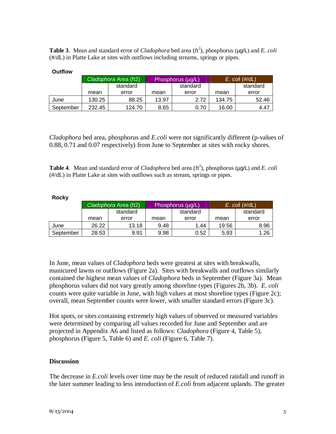Table 3. Mean and standard error of *Cladophora* bed area (ft<sup>2</sup>), phosphorus ( $\mu$ g/L) and *E. coli* (#/dL) in Platte Lake at sites with outflows including streams, springs or pipes.

|           | Cladophora Area (ft2) |        |       | Phosphorus (µg/L) | $E.$ col $(\#/dL)$ |          |  |
|-----------|-----------------------|--------|-------|-------------------|--------------------|----------|--|
|           | standard              |        |       | standard          |                    | standard |  |
|           | mean<br>error         |        | mean  | error             | mean               | error    |  |
| June      | 130.25                | 88.25  | 13.97 | 2.72              | 134.75             | 52.46    |  |
| September | 232.45                | 124.70 | 8.65  | 0.70              | 16.00              | 4.47     |  |

#### **Outflow**

*Cladophora* bed area, phosphorus and *E.coli* were not significantly different (p-values of 0.88, 0.71 and 0.07 respectively) from June to September at sites with rocky shores.

Table 4. Mean and standard error of *Cladophora* bed area (ft<sup>2</sup>), phosphorus ( $\mu$ g/L) and *E. coli* (#/dL) in Platte Lake at sites with outflows such as stream, springs or pipes.

#### **Rocky**

|           | Cladophora Area (ft2) |       |      | Phosphorus (µg/L) | $E.$ col $(\#/dL)$ |          |
|-----------|-----------------------|-------|------|-------------------|--------------------|----------|
|           | standard              |       |      | standard          |                    | standard |
|           | error<br>mean         |       | mean | error             | mean               | error    |
| June      | 26.22                 | 13.18 | 9.48 | 1.44              | 19.56              | 8.96     |
| September | 28.53                 | 9.91  | 9.98 | 0.52              | 5.93               | 1.26     |

In June, mean values of *Cladophora* beds were greatest at sites with breakwalls, manicured lawns or outflows (Figure 2a). Sites with breakwalls and outflows similarly contained the highest mean values of *Cladophora* beds in September (Figure 3a). Mean phosphorus values did not vary greatly among shoreline types (Figures 2b, 3b). *E. coli* counts were quite variable in June, with high values at most shoreline types (Figure 2c); overall, mean September counts were lower, with smaller standard errors (Figure 3c).

Hot spots, or sites containing extremely high values of observed or measured variables were determined by comparing all values recorded for June and September and are projected in Appendix A6 and listed as follows: *Cladophora* (Figure 4, Table 5), phosphorus (Figure 5, Table 6) and *E. coli* (Figure 6, Table 7).

#### **Discussion**

The decrease in *E.coli* levels over time may be the result of reduced rainfall and runoff in the later summer leading to less introduction of *E.coli* from adjacent uplands. The greater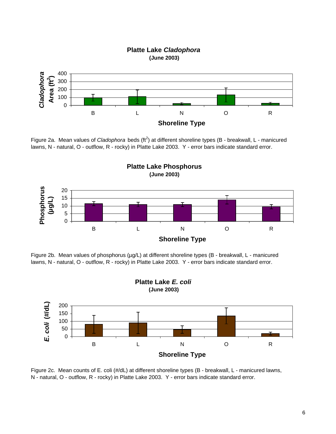

Figure 2a. Mean values of *Cladophora* beds (ft<sup>2</sup>) at different shoreline types (B - breakwall, L - manicured lawns, N - natural, O - outflow, R - rocky) in Platte Lake 2003. Y - error bars indicate standard error.



Figure 2b. Mean values of phosphorus (µg/L) at different shoreline types (B - breakwall, L - manicured lawns, N - natural, O - outflow, R - rocky) in Platte Lake 2003. Y - error bars indicate standard error.



Figure 2c. Mean counts of E. coli (#/dL) at different shoreline types (B - breakwall, L - manicured lawns, N - natural, O - outflow, R - rocky) in Platte Lake 2003. Y - error bars indicate standard error.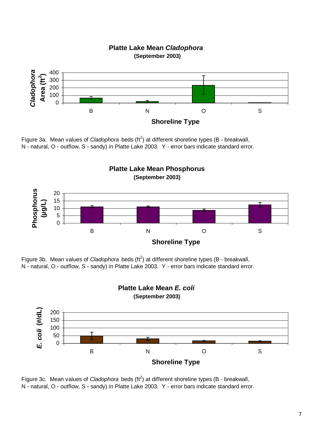

Figure 3a. Mean values of *Cladophora* beds (ft<sup>2</sup>) at different shoreline types (B - breakwall, N - natural, O - outflow, S - sandy) in Platte Lake 2003. Y - error bars indicate standard error.



Figure 3b. Mean values of *Cladophora* beds (ft<sup>2</sup>) at different shoreline types (B - breakwall, N - natural, O - outflow, S - sandy) in Platte Lake 2003. Y - error bars indicate standard error.



Figure 3c. Mean values of *Cladophora* beds (ft<sup>2</sup>) at different shoreline types (B - breakwall, N - natural, O - outflow, S - sandy) in Platte Lake 2003. Y - error bars indicate standard error.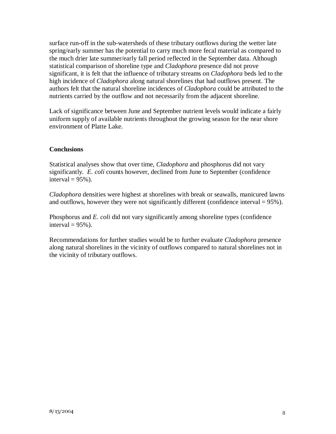surface run-off in the sub-watersheds of these tributary outflows during the wetter late spring/early summer has the potential to carry much more fecal material as compared to the much drier late summer/early fall period reflected in the September data. Although statistical comparison of shoreline type and *Cladophora* presence did not prove significant, it is felt that the influence of tributary streams on *Cladophora* beds led to the high incidence of *Cladophora* along natural shorelines that had outflows present. The authors felt that the natural shoreline incidences of *Cladophora* could be attributed to the nutrients carried by the outflow and not necessarily from the adjacent shoreline.

Lack of significance between June and September nutrient levels would indicate a fairly uniform supply of available nutrients throughout the growing season for the near shore environment of Platte Lake.

### **Conclusions**

Statistical analyses show that over time, *Cladophora* and phosphorus did not vary significantly. *E. coli* counts however, declined from June to September (confidence interval  $= 95\%$ ).

*Cladophora* densities were highest at shorelines with break or seawalls, manicured lawns and outflows, however they were not significantly different (confidence interval  $= 95\%$ ).

Phosphorus and *E. coli* did not vary significantly among shoreline types (confidence interval  $= 95\%$ ).

Recommendations for further studies would be to further evaluate *Cladophora* presence along natural shorelines in the vicinity of outflows compared to natural shorelines not in the vicinity of tributary outflows.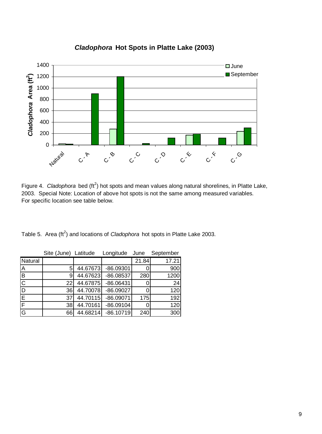

## *Cladophora* **Hot Spots in Platte Lake (2003)**

Figure 4. Cladophora bed (ft<sup>2</sup>) hot spots and mean values along natural shorelines, in Platte Lake, 2003. Special Note: Location of above hot spots is not the same among measured variables. For specific location see table below.

Table 5. Area (ft<sup>2</sup>) and locations of *Cladophora* hot spots in Platte Lake 2003.

|                         | Site (June) Latitude |          | Longitude   | June  | September |
|-------------------------|----------------------|----------|-------------|-------|-----------|
| Natural                 |                      |          |             | 21.84 | 17.21     |
| $\overline{A}$          | 5                    | 44.67673 | $-86.09301$ |       | 900       |
| B                       | 9                    | 44.67623 | $-86.08537$ | 280   | 1200      |
| $\overline{\text{c}}$   | 22                   | 44.67875 | $-86.06431$ |       | 24        |
| ĪD                      | 36                   | 44.70078 | $-86.09027$ |       | 120       |
| E                       | 37                   | 44.70115 | $-86.09071$ | 175   | 192       |
| $\overline{\mathsf{F}}$ | 38                   | 44.70161 | $-86.09104$ |       | 120       |
| $\overline{G}$          | 66                   | 44.68214 | $-86.10719$ | 240   | 300       |

| 21.84 |
|-------|
|-------|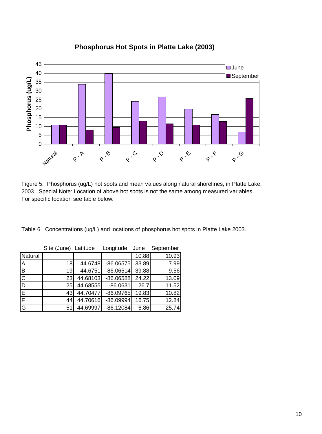

## **Phosphorus Hot Spots in Platte Lake (2003)**

Figure 5. Phosphorus (ug/L) hot spots and mean values along natural shorelines, in Platte Lake, 2003. Special Note: Location of above hot spots is not the same among measured variables. For specific location see table below.

Table 6. Concentrations (ug/L) and locations of phosphorus hot spots in Platte Lake 2003.

|                         | Site (June) Latitude |          | Longitude   | June  | September |
|-------------------------|----------------------|----------|-------------|-------|-----------|
| Natural                 |                      |          |             | 10.88 | 10.93     |
| $\overline{\mathsf{A}}$ | 18                   | 44.6748  | $-86.06575$ | 33.89 | 7.99      |
| $\overline{\mathbf{B}}$ | 19                   | 44.6751  | $-86.06514$ | 39.88 | 9.56      |
| $\overline{\text{c}}$   | 23                   | 44.68103 | $-86.06588$ | 24.22 | 13.09     |
| ĪD                      | 25                   | 44.68555 | $-86.0631$  | 26.7  | 11.52     |
| $\overline{E}$          | 43                   | 44.70477 | $-86.09765$ | 19.83 | 10.82     |
| F                       | 44                   | 44.70616 | $-86.09994$ | 16.75 | 12.84     |
| G                       | 51                   | 44.69997 | $-86.12084$ | 6.86  | 25.74     |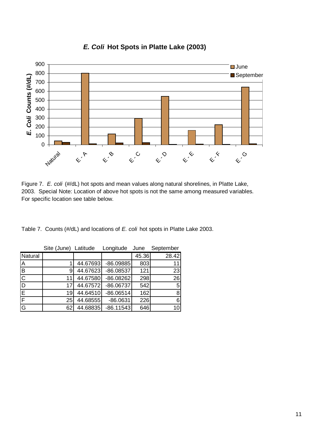

## *E. Coli* **Hot Spots in Platte Lake (2003)**

Figure 7. *E. coli* (#/dL) hot spots and mean values along natural shorelines, in Platte Lake, 2003. Special Note: Location of above hot spots is not the same among measured variables. For specific location see table below.

Table 7. Counts (#/dL) and locations of *E. coli* hot spots in Platte Lake 2003.

|                         | Site (June) Latitude |          | Longitude   | June  | September |
|-------------------------|----------------------|----------|-------------|-------|-----------|
| Natural                 |                      |          |             | 45.36 | 28.42     |
| <b>IA</b>               |                      | 44.67693 | $-86.09885$ | 803   | 11        |
| ĪВ                      | 9                    | 44.67623 | $-86.08537$ | 121   | 23        |
| $\overline{\mathsf{C}}$ |                      | 44.67580 | $-86.08262$ | 298   | 26        |
| ĪD                      | 17                   | 44.67572 | $-86.06737$ | 542   | 5         |
| E                       | 19                   | 44.64510 | $-86.06514$ | 162   | 8         |
| F                       | 25                   | 44.68555 | $-86.0631$  | 226   | 6         |
| G                       | 62                   | 44.68835 | $-86.11543$ | 646   | 10        |

| <u>in the contract of the contract of the contract of the contract of the contract of the contract of the contract of the contract of the contract of the contract of the contract of the contract of the contract of the contra</u> | ______ | . |  | . | ---- |
|--------------------------------------------------------------------------------------------------------------------------------------------------------------------------------------------------------------------------------------|--------|---|--|---|------|
|                                                                                                                                                                                                                                      |        |   |  |   |      |
|                                                                                                                                                                                                                                      |        |   |  |   |      |
|                                                                                                                                                                                                                                      |        |   |  |   |      |
|                                                                                                                                                                                                                                      |        |   |  |   |      |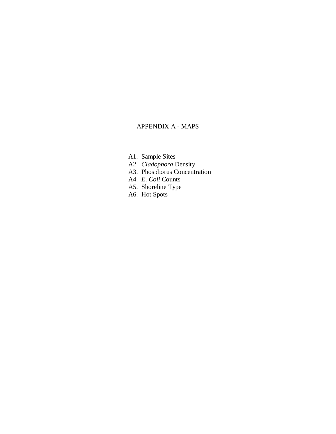#### APPENDIX A - MAPS

- A1. Sample Sites
- A2. *Cladophora* Density
- A3. Phosphorus Concentration
- A4. *E. Coli* Counts
- A5. Shoreline Type
- A6. Hot Spots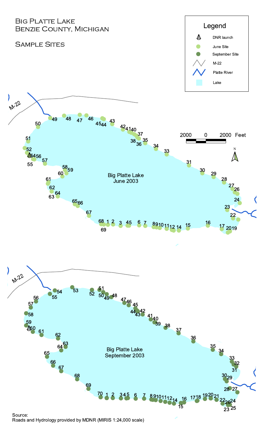

Source: Roads and Hydrology provided by MDNR (MIRIS 1:24,000 scale)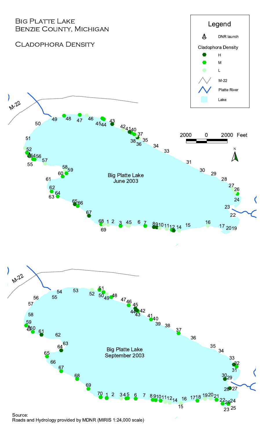

Roads and Hydrology provided by MDNR (MIRIS 1:24,000 scale)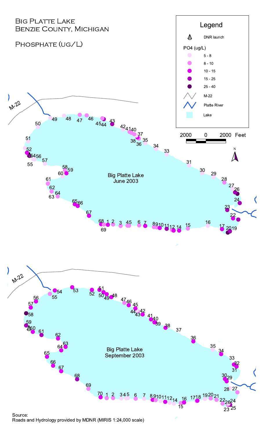

Roads and Hydrology provided by MDNR (MIRIS 1:24,000 scale)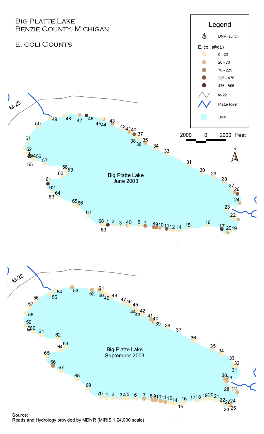

Roads and Hydrology provided by MDNR (MIRIS 1:24,000 scale)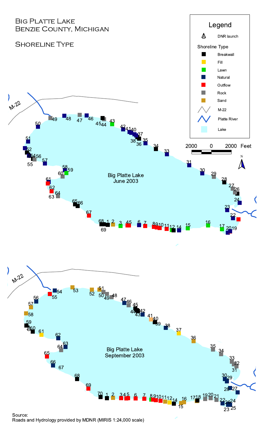



#### Source: Roads and Hydrology provided by MDNR (MIRIS 1:24,000 scale)